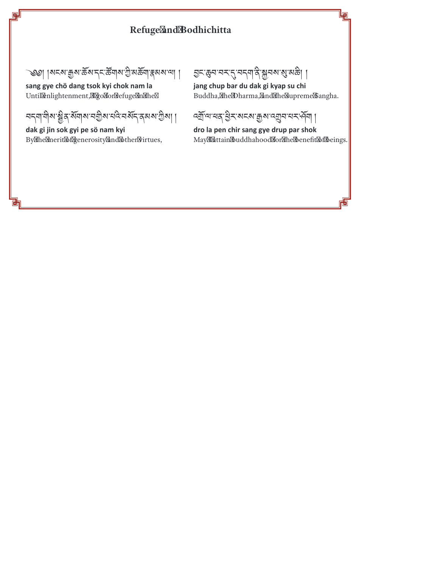### Refuge and Bodhichitta

্ওগ্র। মেনম'ক্রুম'ৰ্ক্রম'ন্নন্স্রুন্নাম'গ্রীমর্ক্রনা'ক্লমম'ন্সা ।

sang gye chö dang tsok kyi chok nam la Until enlightenment, I go for refuge in the

回

尀

<u> বহনারীৰ ষ্ট্রিব র্মনাৰ বর্ত্তিৰ বর্ত্তি বর্মবিদ্বের মাত্রীৰা ।</u>

dak gi jin sok gyi pe sö nam kyi By the merit of generosity and other virtues,

मुमः कुनः नम् पुरन् नम् के अन्य अप्रुप्त के

jang chup bar du dak gi kyap su chi Buddha, the Dharma, and the supreme Sangha.

回

i٦

ক্সিত্ৰ'ন্নৰ'ষ্ট্ৰহ'ম্বৰ্ম'ক্ৰুম'ন্স্ৰ্ৰান'ন্নৰ্মণ্ণ

dro la pen chir sang gye drup par shok May I attain buddhahood for the benefit of beings.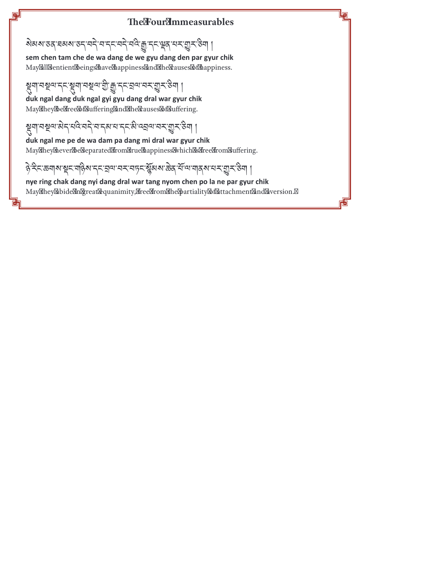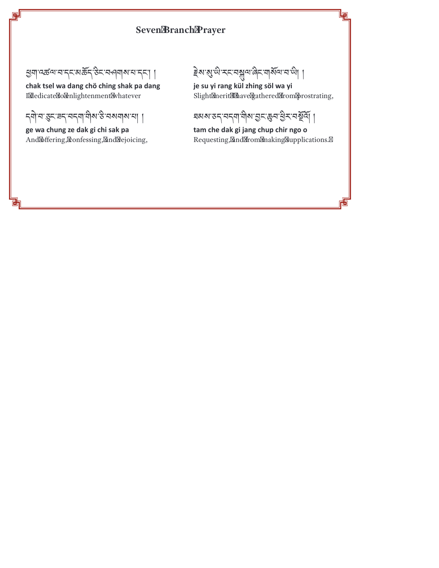#### **Seven Branch Prayer**

য়৸ড়ড়৸ৼ৸ৼৼয়ড়ৼ৻ড়ৼ৸ড়৸ৼ৻ৼ৸৻৸

回

茴

chak tsel wa dang chö ching shak pa dang I dedicate to enlightenment whatever

ন্নী বাপ্তবাৰন বৰ্ণা নীৰ উদ্বৰ্ষনা বা

ge wa chung ze dak gi chi sak pa And offering, confessing, and rejoicing,

हेड हैं। अप्रै के स्वयं के स्वयं स्था है।

je su yi rang kül zhing söl wa yi Slight merit I have gathered from prostrating, 回

i٦

ঘন্নৰাজ্য-বন্দ্ৰাণীৰ গ্ৰন্থকে ব্ৰিন'ৰষ্ট্ৰী ।

tam che dak gi jang chup chir ngo o Requesting, and from making supplications.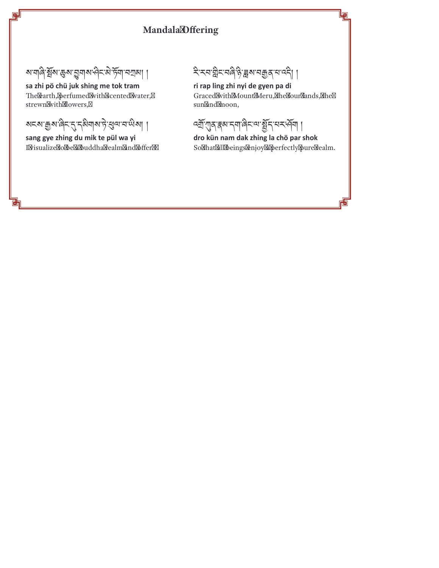#### **Mandala Offering**

য়ৼয়ড়৻৸ড়ড়৻ৼঀ৻ৼ৻ড়৻৸ড়৸ৼ৻৸ৼ৻ড়৸ৼ৻ড়৸ঢ়৸ড়৸

剛

陆

sa zhi pö chü juk shing me tok tram The earth, perfumed with scented water, strewn with flowers,

अद्रषाञ्चरावेदानु दुविवाराष्ट्रे सुवानाणेखा ।

sang gye zhing du mik te pül wa yi I visualize to be a buddha realm and offer

दे: रूपा ब्रेन व वि है ब्रेष वक्तु दा वि ।

ri rap ling zhi nyi de gyen pa di Graced with Mount Meru, the four lands, the sun and moon,

回

п

<u>द्भ</u>ागुबाह्रबादवादितवा<u>ञ्चेदाव</u>द्भववा ।

dro kün nam dak zhing la chö par shok So that all beings enjoy a perfectly pure realm.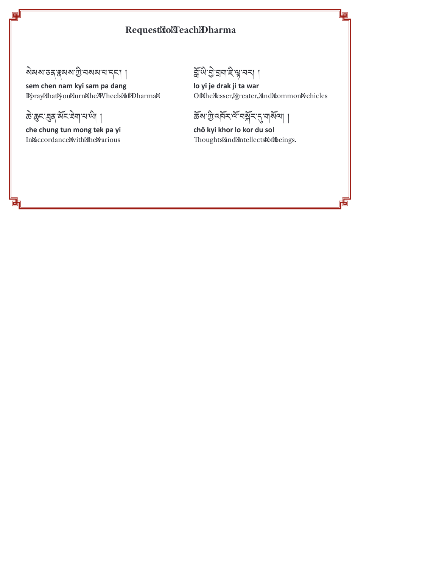### **Request to Teach Dharma**

สิมมาธรุสมมาติ สมมารุม

sem chen nam kyi sam pa dang I pray that you turn the Wheels of Dharma

के कुरा शुदार्थे सेवायायी।

回

茴

che chung tun mong tek pa yi In accordance with the various

क्षिपे से प्राप्त है भू यन ।

lo yi je drak ji ta war Of the lesser, greater, and common vehicles lp

Ð

केश गुप्तवें र वे वर्षे र तुमार्शवा ।

chö kyi khor lo kor du sol Thoughts and intellects of beings.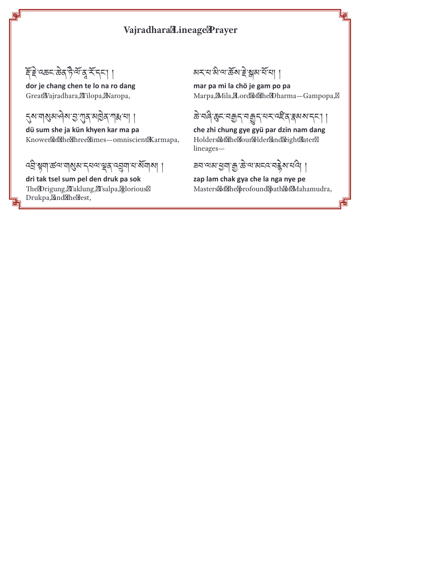### Vajradhara Lineage Prayer

*हिंदे* वरूद्र केव है बाबू रूदना ।

回

dor je chang chen te lo na ro dang Great Vajradhara, Tilopa, Naropa,

# ५४ पाश्चब जेल छ राज बङ्गि गहा चा

dü sum she ja kün khyen kar ma pa Knower of the three times-omniscient Karmapa,

#### <sup>.</sup>ಹণ্মাৰ্থ্যসামন্য উপাৰ্ট প্ৰয়াৰ স্থাৰ প্ৰা ন্ট্ৰ'শ্লুনা

dri tak tsel sum pel den druk pa sok The Drigung, Taklung, Tsalpa, glorious Drukpa, and the rest,

मरायां से या के राष्ट्राञ्चल में या

mar pa mi la chö je gam po pa Marpa, Mila, Lord of the Dharma-Gampopa,

رمياز

衙

## ङनदिष्टन्न्यकुन्नबुन्न्नन्दर्दिष्ट्रक्षयन्ता ।

che zhi chung gye gyü par dzin nam dang Holders of the four elder and eight later lineages-

zap lam chak gya che la nga nye pe Masters of the profound path of Mahamudra,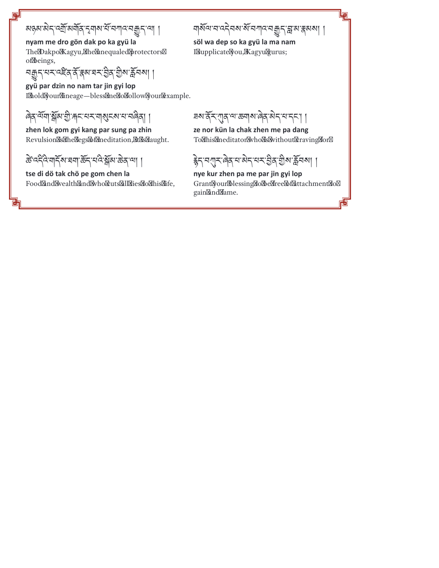## মন্তম মন্দ্ৰী মৰ্মীৰ নুমাৰ মানিশাৰ মন্ত্ৰন আ

回

陆

nyam me dro gön dak po ka gyü la The Dakpo Kagyu, the unequaled protectors of beings,

নদ্ভূন নম নইৰ বঁৰিম ঘৰ ইৰ শ্ৰীম ক্লীনমা ।

gyü par dzin no nam tar jin gyi lop I hold your lineage-bless me to follow your example.

## ৰেক'<sup>ব্যবা</sup>য়ীৰ'শ্ৰী'স্কান'মান্মৰ্কান'মানৰ বিৰা

zhen lok gom gyi kang par sung pa zhin Revulsion is the legs of meditation, it is taught.

#### ಹೆಇ <u>বিবাইৰ বনাঞ্চল বৰিষ্ট্ৰৰ</u> 'ୟା

tse di dö tak chö pe gom chen la Food and wealth and who cuts all ties to this life, য়য়ড়য়ৼ৻ৼ৻৸৸ৼ৻৸৸ৼ৸৸৸৸৸৸ söl wa dep so ka gyü la ma nam I supplicate you, Kagyu gurus;

رمياز

尙

*র*ম'র্ন্⊼'্শ্যস্'ক্রমাম'ৰ্ন্ন

ze nor kün la chak zhen me pa dang To this meditator who is without craving for

 $\widehat{\vec{B}}$ শুমৰের ঘামবাঘম ব্রিমন্ত্রীর ষ্ট্রবন্ধা ।

nye kur zhen pa me par jin gyi lop Grant your blessing to be free of attachment to gain and fame.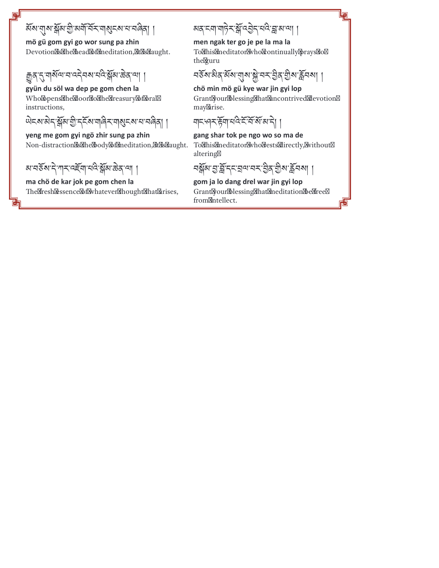## য়৵ৼঢ়ঢ়৸ৼৣ৾য়ৼড়ৢ৾ৼড়ড়ড়ৼ৸ৼঀড়ঀ৻৸

mö gü gom gyi go wor sung pa zhin Devotion is the head of meditation, it is taught.

# ক্ৰুব'ন্মুম্বৰুম্বৰ বিষ্মানন্দ্ৰীয় ক্লব'ন্মা ।

gyün du söl wa dep pe gom chen la

Who opens the door to the treasury of oral instructions,

# षेद्रषात्रेदाञ्जलारी दर्देशायादि या शुद्रषायायदेवा ।

yeng me gom gyi ngö zhir sung pa zhin Non-distraction is the body of meditation, it is taught.

# য়ৼঽড়৶ৼৢ৾ৼয়ৼ৻ড়ৼ৻ড়৸ৼ৻ড়৸ড়৸

ma chö de kar jok pe gom chen la The fresh essence of whatever thought that arises,

## অন্বাম্নানান্ত্ৰ স্ক্ৰীন্দ্ৰীন্দ্ৰ স্ক্ৰী ।

men ngak ter go je pe la ma la To this meditator who continually prays to the guru

## *নৰ্*ষম মিন ৰ্মম'ন্মুশ মু'ন ম' ব্ৰিন' শ্ৰীম'ৰ্ম্ননমা ।

#### chö min mö gü kye war jin gyi lop

Grant your blessing that uncontrived devotion may arise.

## मद्भवद हेवा बंदे देखिया ने ।

#### gang shar tok pe ngo wo so ma de

To this meditator who rests directly, without altering

বর্ষ্ণরাপ্তার্স্লাব্দার্য্য ব্রম্পর্ট মার্ক্লব্রমা ।

#### gom ja lo dang drel war jin gyi lop Grant your blessing that meditation be free

from intellect.

卣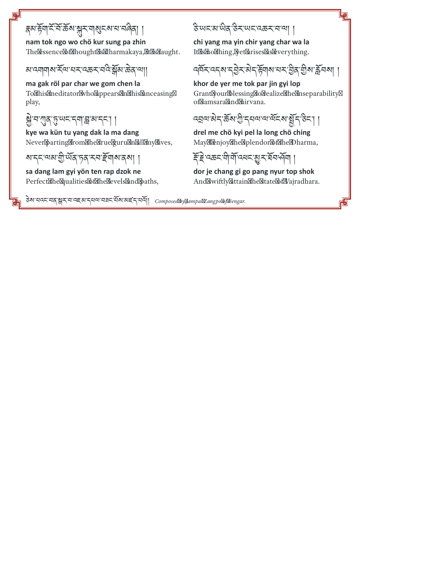## *ह्*बार्ह्मार्ह्न्द्रिक्किंबाञ्जूरमाबुदबारामविवा

덽

陆

nam tok ngo wo chö kur sung pa zhin The essence of thought is dharmakaya, it is taught.

## <u> মান্নবাৰামাৰ্</u>মবাৰামাৰেক্সামাৰীৰ জীৱ আ

ma gak röl par char we gom chen la To this meditator who appears in this unceasing play,

# ৠৢয়য়য়ৢয়৻ঢ়ৢৢ৻ড়ঢ়ৼঢ়ঀৗৠয়ৼ৻৸য়

kye wa kün tu yang dak la ma dang Never parting from the true guru in all my lives,

## <u>ম'মুম্'নেমান্ত্ৰী অৰ্থন উৰামান্ত্ৰী |</u>

sa dang lam gyi yön ten rap dzok ne Perfect the qualities of the levels and paths,

#### डेबाद्यदर वर सर्व दिवाद बाद विवाद स्थान कर दिया। Composed by Jampal Zangpo of Bengar.

## हे सादारा सी दे हेन्द्र सादा वक्र ना दे ।

chi yang ma yin chir yang char wa la It is no thing, yet arises as everything.

# पर्वेद प्रदार देने से दिना बाय र देने में बाया।

ها (

i٦

khor de yer me tok par jin gyi lop Grant your blessing to realize the inseparability of samsara and nirvana.

# द्मवानेन केलाग्री सेवाबाबान्न संस्था है।

drel me chö kyi pel la long chö ching May I enjoy the splendor of the Dharma,

## *हिंदे पक्ष*दायोजी वसदाह्य र सेन सेना

dor je chang gi go pang nyur top shok And swiftly attain the state of Vajradhara.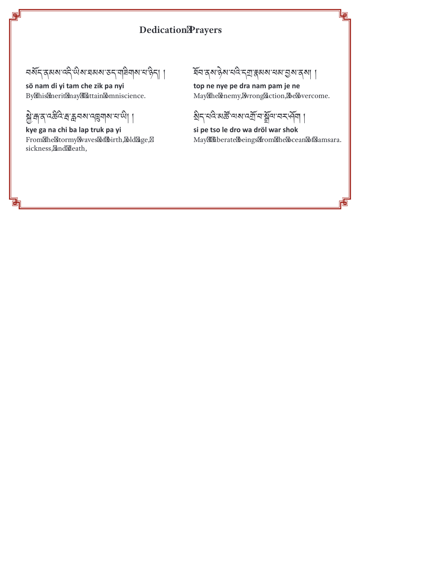### **Dedication Prayers**

*নষ্ট*ন্দ্ৰমৰ্ম দ্দী অসমৰাজন অৰিমান উনা।

sö nam di yi tam che zik pa nyi By this merit may I attain omniscience.

# <u>ञ्जे ज्ञाताद्रुष्टुम् सञ्चनबाद्यवाद्यालामा</u>

剾

茴

kye ga na chi ba lap truk pa yi From the stormy waves of birth, old age, sickness, and death,

ইনন্দর্শন্ত মানন্দিন স্থার মানমা ব্রশন্ত মা

top ne nye pe dra nam pam je ne May the enemy, wrong action, be overcome. 回

श्चेन मवित्रके वश्य वर्गुम सुवा नमर्भवा।

si pe tso le dro wa dröl war shok May I liberate beings from the ocean of samsara.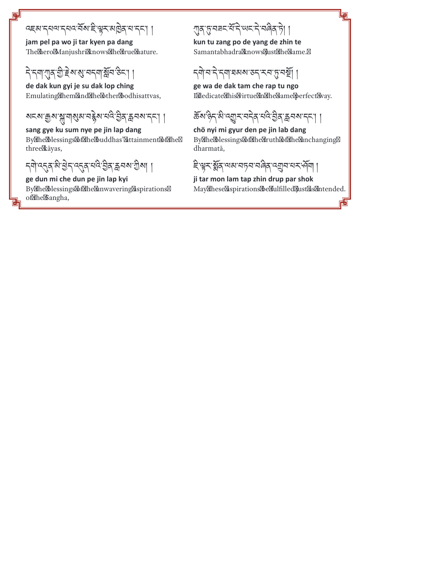### दहसम्मयम् मयसे स्थान् स्वर साडे ना नना

jam pel pa wo ji tar kyen pa dang The hero Manjushri knows the true nature.

# दे दगरगुद गुद्देश शुम्बद्दग क्षेत हेटा ।

剾

de dak kun gyi je su dak lop ching Emulating them and the other bodhisattvas,

# ୶ଽ୶ୄଈ୶ୄ୴୴ୡ୲୶୳ୡୖ୶୳୶ୡୖୢୠ୰ଢ଼୶୷ଽ୲ୗ

sang gye ku sum nye pe jin lap dang By the blessings of the buddhas' attainment of the three kāyas,

<u> न्याद्यर्थकुर्वान्दर्यस्कृत्यान् ।</u>

#### ge dun mi che dun pe jin lap kyi By the blessings of the unwavering aspirations of the Sangha,

## <u> गु</u>द्गुन्न्वद्ग्धेन्दे स्पदन्दे वर्वेदको

kun tu zang po de yang de zhin te Samantabhadra knows just the same.

ন্নী ন'ন ন্মা ঘৰুৰ কৰা কৰা দেৱ প্ৰী ।

ge wa de dak tam che rap tu ngo I dedicate this virtue in the same perfect way. 回

旬

# ङ्क्षाञ्जे-सिद्ध्युर्-सदेव संदेखेव क्षयबादना ।

#### chö nyi mi gyur den pe jin lab dang By the blessings of the truth of the unchanging dharmatā,

दे भूर र्यून् यस नन्न नवेन न्युन नर्स्ना

ji tar mon lam tap zhin drup par shok May these aspirations be fulfilled just as intended.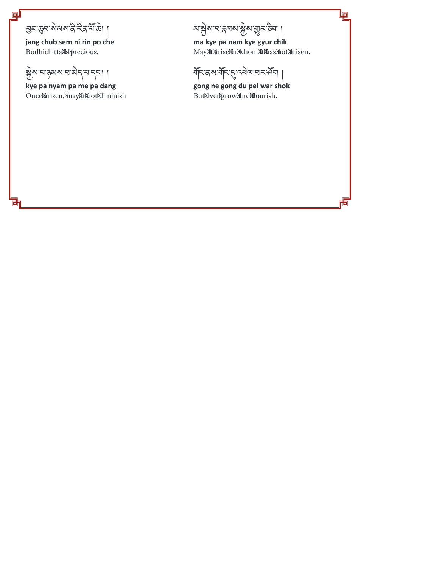मुम् कुन बेबबादे मैं नायें के ।

回

茴

jang chub sem ni rin po che Bodhichitta is precious.

अरुण्याद्वसरायासेन्यानन्या ।

kye pa nyam pa me pa dang Once arisen, may it not diminish

बाञ्जेबाद्याङ्गबाद्या अञ्चल के ।

ma kye pa nam kye gyur chik May it arise in whom it has not arisen. lp

i٦

मॅह दरु मॅह तुम्बेव नरसेना।

gong ne gong du pel war shok But ever grow and flourish.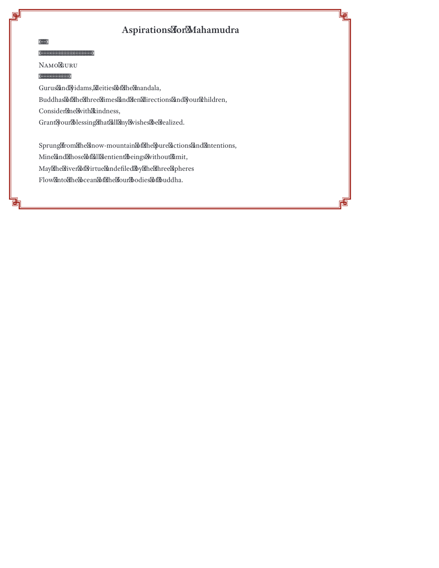#### **Aspirations for Mahamudra**

╚

#### NAMO GURU

п

Gurus and yidams, deities of the mandala, Buddhas of the three times and ten directions and your children, Consider me with kindness, Grant your blessing that all my wishes be realized.

Sprung from the snow-mountain of the pure actions and intentions, Mine and those of all sentient beings without limit, May the river of virtue undefiled by the three spheres Flow into the ocean of the four bodies of buddha.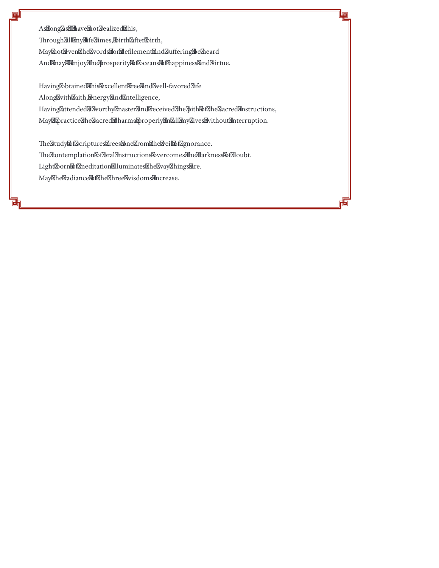As long as I have not realized this,

回

Through all my life times, birth after birth,

May not even the words for defilement and suffering be heard

And may I enjoy the prosperity of oceans of happiness and virtue.

Having obtained this excellent free and well-favored life Along with faith, energy and intelligence, Having attended a worthy master and received the pith of the sacred instructions, May I practice the sacred dharma properly in all my lives without interruption.

峘

The study of scriptures frees one from the veil of ignorance. The contemplation of oral instructions overcomes the darkness of doubt. Light born of meditation illuminates the way things are. May the radiance of the three wisdoms increase.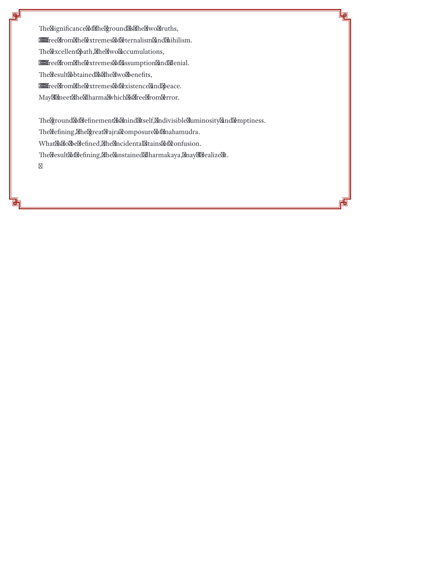The significance of the ground is the two truths,

free from the extremes of eternalism and nihilism.

The excellent path, the two accumulations,

剛

free from the extremes of assumption and denial. The result obtained is the two benefits,

free from the extremes of existence and peace. May I meet the dharma which is free from error.

The ground of refinement is mind itself, indivisible luminosity and emptiness. The refining, the great vajra composure of mahamudra. What is to be refined, the incidental stains of confusion. The result of refining, the unstained dharmakaya, may I realize it.

ر ہا ا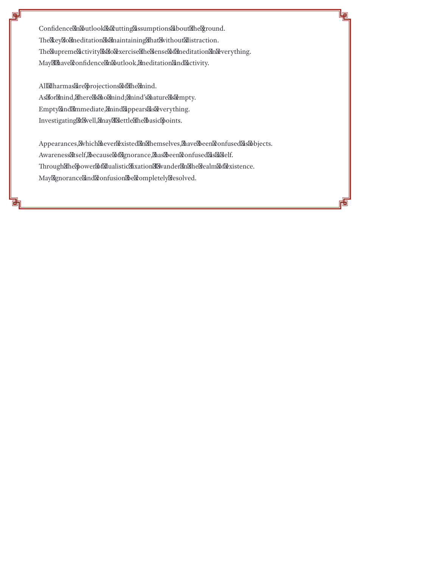Confidence in outlook is cutting assumptions about the ground. The key to meditation is maintaining that without distraction. The supreme activity is to exercise the sense of meditation in everything. May I have confidence in outlook, meditation and activity.

ها

All dharmas are projections of the mind. As for mind, there is no mind; mind's nature is empty. Empty and immediate, mind appears as everything. Investigating it well, may I settle the basic points.

Appearances, which never existed in themselves, have been confused as objects. Awareness itself, because of ignorance, has been confused as a self. Through the power of dualistic fixation I wander in the realm of existence. May ignorance and confusion be completely resolved.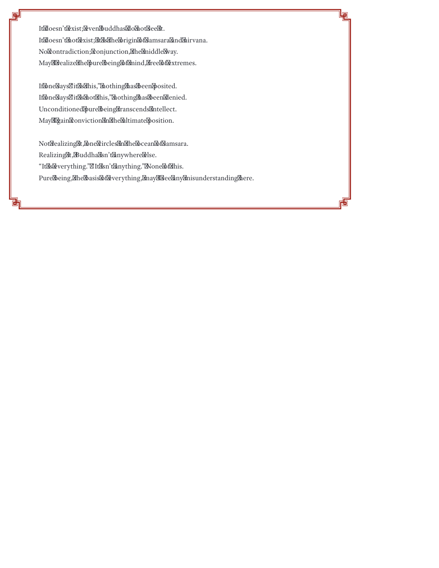It doesn't exist; even buddhas do not see it. It doesn't not exist; it is the origin of samsara and nirvana. No contradiction; conjunction, the middle way. May I realize the pure being of mind, free of extremes.

رتبا

If one says "it is this," nothing has been posited. If one says "it is not this," nothing has been denied. Unconditioned pure being transcends intellect. May I gain conviction in the ultimate position.

Not realizing it, one circles in the ocean of samsara. Realizing it, Buddha isn't anywhere else. "It is everything." "It isn't anything." None of this. Pure being, the basis of everything, may I see any misunderstanding here.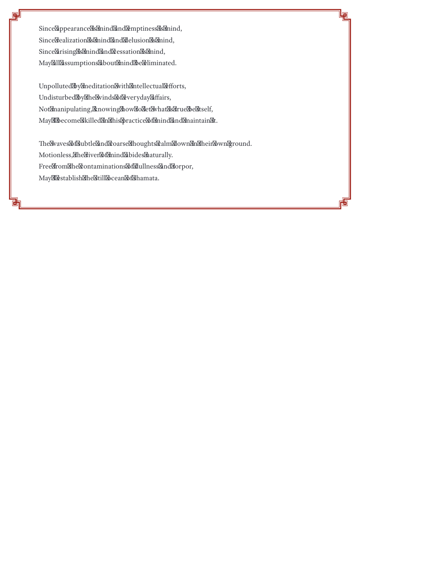Since appearance is mind and emptiness is mind, Since realization is mind and delusion is mind, Since arising is mind and cessation is mind, May all assumptions about mind be eliminated.

剛

Unpolluted by meditation with intellectual efforts, Undisturbed by the winds of everyday affairs, Not manipulating, knowing how to let what is true be itself, May I become skilled in this practice of mind and maintain it.

The waves of subtle and coarse thoughts calm down in their own ground. Motionless, the river of mind abides naturally. Free from the contaminations of dullness and torpor, May I establish the still ocean of shamata.

اتبا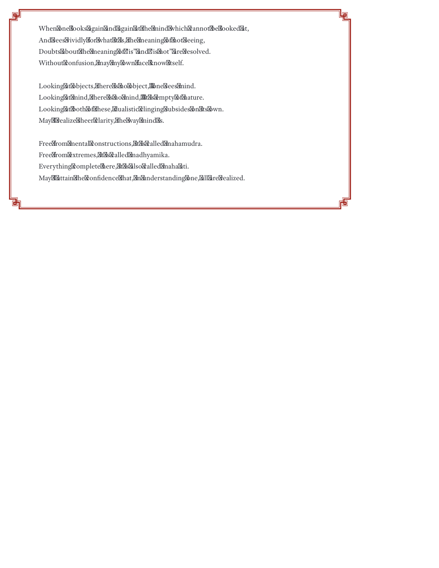When one looks again and again at the mind which cannot be looked at, And sees vividly for what it is, the meaning of not seeing, Doubts about the meaning of "is" and "is not" are resolved. Without confusion, may my own face know itself.

ها

Looking at objects, there is no object, one sees mind. Looking at mind, there is no mind, it is empty of nature. Looking at both of these, dualistic clinging subsides on its own. May I realize sheer clarity, the way mind is.

回

Free from mental constructions, it is called mahamudra. Free from extremes, it is called madhyamika. Everything complete here, it is also called maha ati. May I attain the confidence that, in understanding one, all are realized.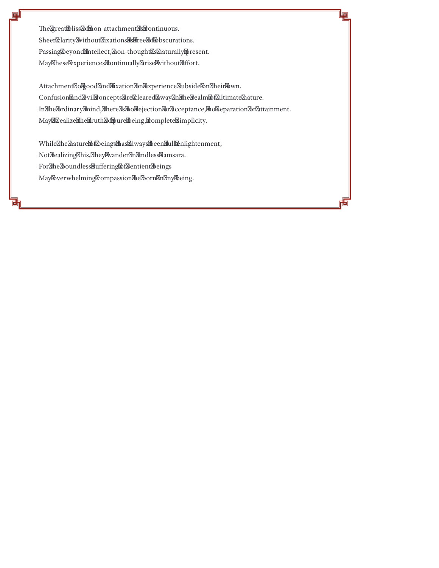The great bliss of non-attachment is continuous. Sheer clarity without fixations is free of obscurations. Passing beyond intellect, non-thought is naturally present. May these experiences continually arise without effort.

Attachment to good and fixation on experience subside on their own. Confusion and evil concepts are cleared away in the realm of ultimate nature. In the ordinary mind, there is no rejection or acceptance, no separation or attainment. May I realize the truth of pure being, complete simplicity.

ها

While the nature of beings has always been full enlightenment, Not realizing this, they wander in endless samsara. For the boundless suffering of sentient beings May overwhelming compassion be born in my being.